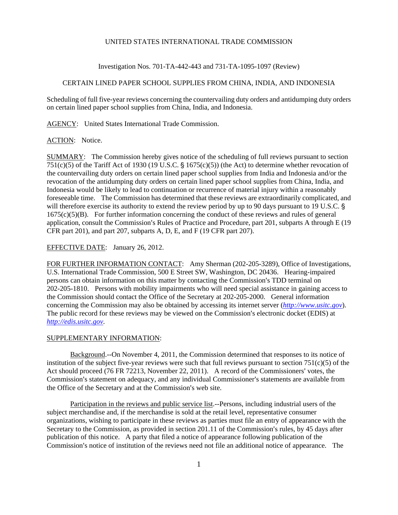## UNITED STATES INTERNATIONAL TRADE COMMISSION

Investigation Nos. 701-TA-442-443 and 731-TA-1095-1097 (Review)

# CERTAIN LINED PAPER SCHOOL SUPPLIES FROM CHINA, INDIA, AND INDONESIA

Scheduling of full five-year reviews concerning the countervailing duty orders and antidumping duty orders on certain lined paper school supplies from China, India, and Indonesia.

AGENCY: United States International Trade Commission.

#### ACTION: Notice.

SUMMARY: The Commission hereby gives notice of the scheduling of full reviews pursuant to section 751(c)(5) of the Tariff Act of 1930 (19 U.S.C.  $\frac{1}{5}$  1675(c)(5)) (the Act) to determine whether revocation of the countervailing duty orders on certain lined paper school supplies from India and Indonesia and/or the revocation of the antidumping duty orders on certain lined paper school supplies from China, India, and Indonesia would be likely to lead to continuation or recurrence of material injury within a reasonably foreseeable time. The Commission has determined that these reviews are extraordinarily complicated, and will therefore exercise its authority to extend the review period by up to 90 days pursuant to 19 U.S.C. § 1675(c)(5)(B). For further information concerning the conduct of these reviews and rules of general application, consult the Commission's Rules of Practice and Procedure, part 201, subparts A through E (19) CFR part 201), and part 207, subparts A, D, E, and F (19 CFR part 207).

### EFFECTIVE DATE: January 26, 2012.

FOR FURTHER INFORMATION CONTACT: Amy Sherman (202-205-3289), Office of Investigations, U.S. International Trade Commission, 500 E Street SW, Washington, DC 20436. Hearing-impaired persons can obtain information on this matter by contacting the Commission's TDD terminal on 202-205-1810. Persons with mobility impairments who will need special assistance in gaining access to the Commission should contact the Office of the Secretary at 202-205-2000. General information concerning the Commission may also be obtained by accessing its internet server (*http://www.usitc.gov*). The public record for these reviews may be viewed on the Commission's electronic docket (EDIS) at *http://edis.usitc.gov*.

#### SUPPLEMENTARY INFORMATION:

Background.--On November 4, 2011, the Commission determined that responses to its notice of institution of the subject five-year reviews were such that full reviews pursuant to section  $751(c)(5)$  of the Act should proceed (76 FR 72213, November 22, 2011). A record of the Commissioners' votes, the Commission's statement on adequacy, and any individual Commissioner's statements are available from the Office of the Secretary and at the Commission's web site.

Participation in the reviews and public service list.--Persons, including industrial users of the subject merchandise and, if the merchandise is sold at the retail level, representative consumer organizations, wishing to participate in these reviews as parties must file an entry of appearance with the Secretary to the Commission, as provided in section  $201.11$  of the Commission's rules, by 45 days after publication of this notice. A party that filed a notice of appearance following publication of the Commission's notice of institution of the reviews need not file an additional notice of appearance. The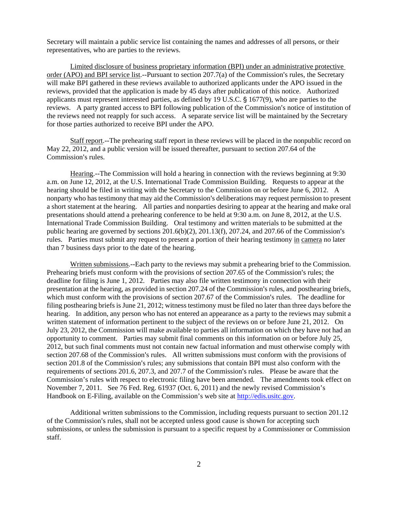Secretary will maintain a public service list containing the names and addresses of all persons, or their representatives, who are parties to the reviews.

Limited disclosure of business proprietary information (BPI) under an administrative protective order (APO) and BPI service list.--Pursuant to section  $207.7(a)$  of the Commission's rules, the Secretary will make BPI gathered in these reviews available to authorized applicants under the APO issued in the reviews, provided that the application is made by 45 days after publication of this notice. Authorized applicants must represent interested parties, as defined by 19 U.S.C.  $\S$  1677(9), who are parties to the reviews. A party granted access to BPI following publication of the Commission's notice of institution of the reviews need not reapply for such access. A separate service list will be maintained by the Secretary for those parties authorized to receive BPI under the APO.

Staff report.--The prehearing staff report in these reviews will be placed in the nonpublic record on May 22, 2012, and a public version will be issued thereafter, pursuant to section 207.64 of the Commission's rules.

Hearing.--The Commission will hold a hearing in connection with the reviews beginning at 9:30 a.m. on June 12, 2012, at the U.S. International Trade Commission Building. Requests to appear at the hearing should be filed in writing with the Secretary to the Commission on or before June 6, 2012. A nonparty who has testimony that may aid the Commission's deliberations may request permission to present a short statement at the hearing. All parties and nonparties desiring to appear at the hearing and make oral presentations should attend a prehearing conference to be held at 9:30 a.m. on June 8, 2012, at the U.S. International Trade Commission Building. Oral testimony and written materials to be submitted at the public hearing are governed by sections  $201.6(b)(2)$ ,  $201.13(f)$ ,  $207.24$ , and  $207.66$  of the Commission's rules. Parties must submit any request to present a portion of their hearing testimony in camera no later than 7 business days prior to the date of the hearing.

Written submissions.--Each party to the reviews may submit a prehearing brief to the Commission. Prehearing briefs must conform with the provisions of section 207.65 of the Commission's rules; the deadline for filing is June 1, 2012. Parties may also file written testimony in connection with their presentation at the hearing, as provided in section 207.24 of the Commission's rules, and posthearing briefs, which must conform with the provisions of section 207.67 of the Commission's rules. The deadline for filing posthearing briefs is June 21, 2012; witness testimony must be filed no later than three days before the hearing. In addition, any person who has not entered an appearance as a party to the reviews may submit a written statement of information pertinent to the subject of the reviews on or before June 21, 2012. On July 23, 2012, the Commission will make available to parties all information on which they have not had an opportunity to comment. Parties may submit final comments on this information on or before July 25, 2012, but such final comments must not contain new factual information and must otherwise comply with section 207.68 of the Commission's rules. All written submissions must conform with the provisions of section 201.8 of the Commission's rules; any submissions that contain BPI must also conform with the requirements of sections 201.6, 207.3, and 207.7 of the Commission's rules. Please be aware that the Commission's rules with respect to electronic filing have been amended. The amendments took effect on November 7, 2011. See 76 Fed. Reg. 61937 (Oct. 6, 2011) and the newly revised Commission's Handbook on E-Filing, available on the Commission's web site at http://edis.usitc.gov.

Additional written submissions to the Commission, including requests pursuant to section 201.12 of the Commission's rules, shall not be accepted unless good cause is shown for accepting such submissions, or unless the submission is pursuant to a specific request by a Commissioner or Commission staff.